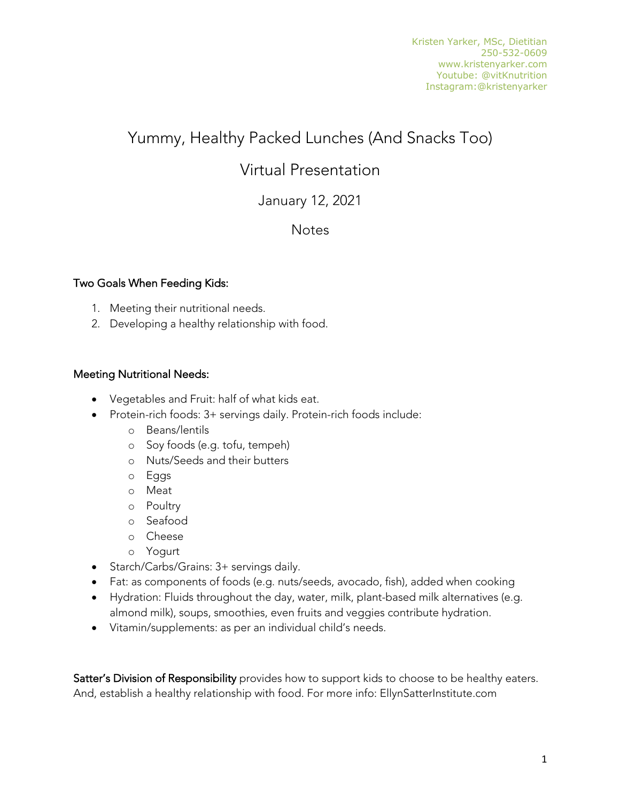# Yummy, Healthy Packed Lunches (And Snacks Too)

## Virtual Presentation

## January 12, 2021

### **Notes**

#### Two Goals When Feeding Kids:

- 1. Meeting their nutritional needs.
- 2. Developing a healthy relationship with food.

#### Meeting Nutritional Needs:

- Vegetables and Fruit: half of what kids eat.
- Protein-rich foods: 3+ servings daily. Protein-rich foods include:
	- o Beans/lentils
	- o Soy foods (e.g. tofu, tempeh)
	- o Nuts/Seeds and their butters
	- o Eggs
	- o Meat
	- o Poultry
	- o Seafood
	- o Cheese
	- o Yogurt
- Starch/Carbs/Grains: 3+ servings daily.
- Fat: as components of foods (e.g. nuts/seeds, avocado, fish), added when cooking
- Hydration: Fluids throughout the day, water, milk, plant-based milk alternatives (e.g. almond milk), soups, smoothies, even fruits and veggies contribute hydration.
- Vitamin/supplements: as per an individual child's needs.

Satter's Division of Responsibility provides how to support kids to choose to be healthy eaters. And, establish a healthy relationship with food. For more info: EllynSatterInstitute.com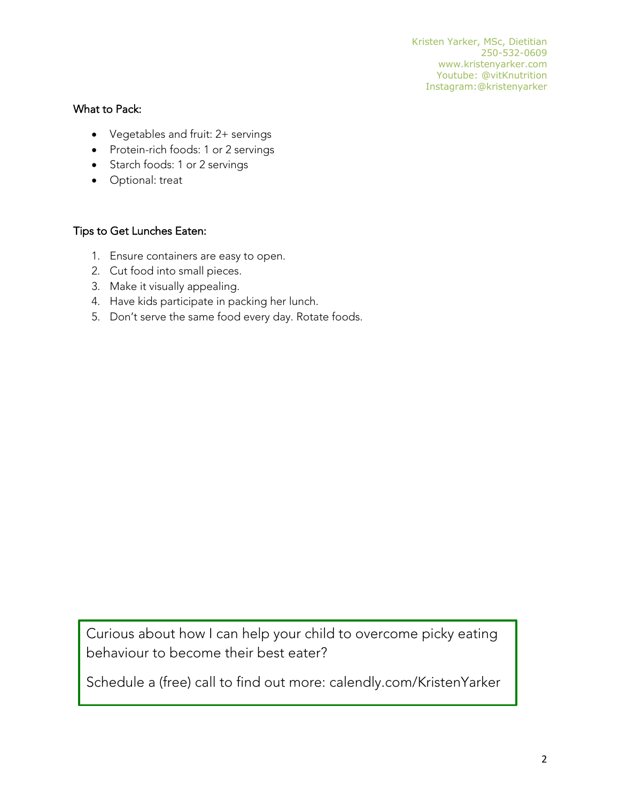#### What to Pack:

- Vegetables and fruit: 2+ servings
- Protein-rich foods: 1 or 2 servings
- Starch foods: 1 or 2 servings
- Optional: treat

#### Tips to Get Lunches Eaten:

- 1. Ensure containers are easy to open.
- 2. Cut food into small pieces.
- 3. Make it visually appealing.
- 4. Have kids participate in packing her lunch.
- 5. Don't serve the same food every day. Rotate foods.

Curious about how I can help your child to overcome picky eating behaviour to become their best eater?

Schedule a (free) call to find out more: calendly.com/KristenYarker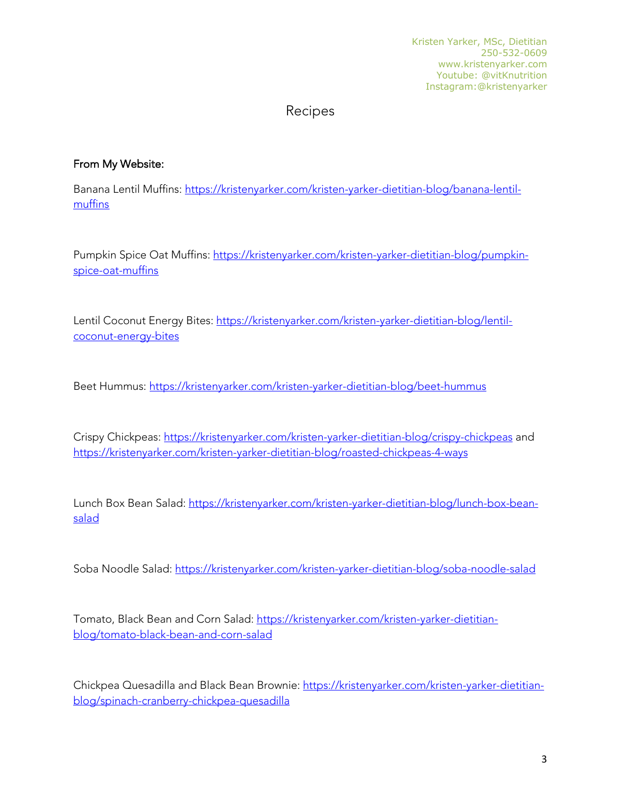Kristen Yarker, MSc, Dietitian 250-532-0609 www.kristenyarker.com Youtube: @vitKnutrition Instagram:@kristenyarker

## Recipes

#### From My Website:

Banana Lentil Muffins: https://kristenyarker.com/kristen-yarker-dietitian-blog/banana-lentilmuffins

Pumpkin Spice Oat Muffins: https://kristenyarker.com/kristen-yarker-dietitian-blog/pumpkinspice-oat-muffins

Lentil Coconut Energy Bites: https://kristenyarker.com/kristen-yarker-dietitian-blog/lentilcoconut-energy-bites

Beet Hummus: https://kristenyarker.com/kristen-yarker-dietitian-blog/beet-hummus

Crispy Chickpeas: https://kristenyarker.com/kristen-yarker-dietitian-blog/crispy-chickpeas and https://kristenyarker.com/kristen-yarker-dietitian-blog/roasted-chickpeas-4-ways

Lunch Box Bean Salad: https://kristenyarker.com/kristen-yarker-dietitian-blog/lunch-box-beansalad

Soba Noodle Salad: https://kristenyarker.com/kristen-yarker-dietitian-blog/soba-noodle-salad

Tomato, Black Bean and Corn Salad: https://kristenyarker.com/kristen-yarker-dietitianblog/tomato-black-bean-and-corn-salad

Chickpea Quesadilla and Black Bean Brownie: https://kristenyarker.com/kristen-yarker-dietitianblog/spinach-cranberry-chickpea-quesadilla